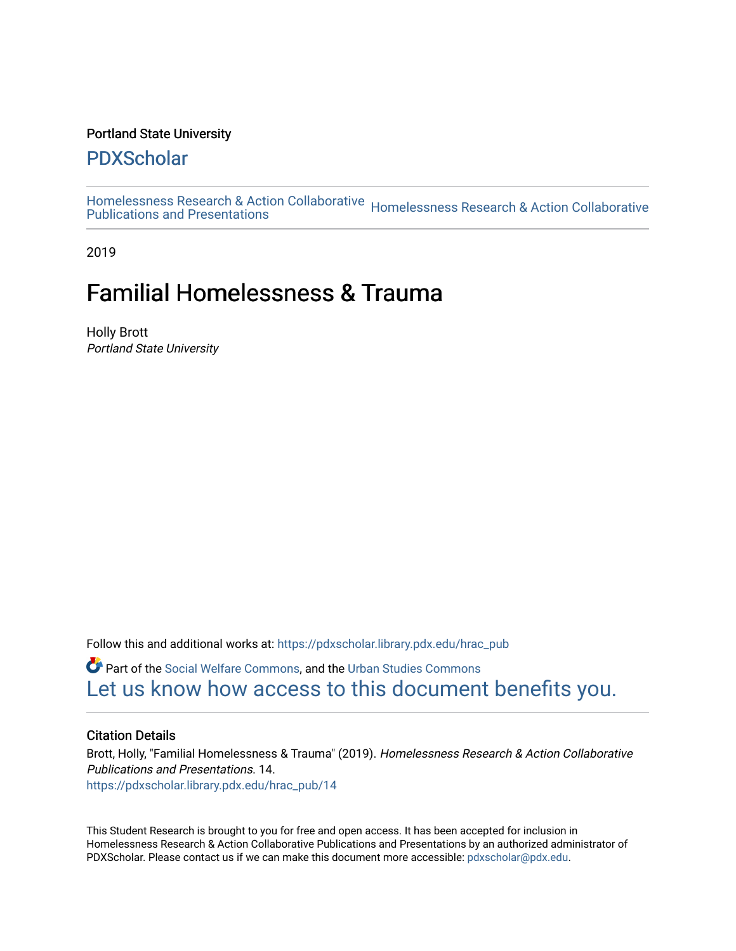#### Portland State University

#### [PDXScholar](https://pdxscholar.library.pdx.edu/)

[Homelessness Research & Action Collaborative](https://pdxscholar.library.pdx.edu/hrac_pub) Homelessness Research & Action Collaborative<br>Publications and Presentations

2019

# Familial Homelessness & Trauma

Holly Brott Portland State University

Follow this and additional works at: [https://pdxscholar.library.pdx.edu/hrac\\_pub](https://pdxscholar.library.pdx.edu/hrac_pub?utm_source=pdxscholar.library.pdx.edu%2Fhrac_pub%2F14&utm_medium=PDF&utm_campaign=PDFCoverPages) 

Part of the [Social Welfare Commons](http://network.bepress.com/hgg/discipline/401?utm_source=pdxscholar.library.pdx.edu%2Fhrac_pub%2F14&utm_medium=PDF&utm_campaign=PDFCoverPages), and the [Urban Studies Commons](http://network.bepress.com/hgg/discipline/402?utm_source=pdxscholar.library.pdx.edu%2Fhrac_pub%2F14&utm_medium=PDF&utm_campaign=PDFCoverPages) [Let us know how access to this document benefits you.](http://library.pdx.edu/services/pdxscholar-services/pdxscholar-feedback/?ref=https://pdxscholar.library.pdx.edu/hrac_pub/14) 

#### Citation Details

Brott, Holly, "Familial Homelessness & Trauma" (2019). Homelessness Research & Action Collaborative Publications and Presentations. 14. [https://pdxscholar.library.pdx.edu/hrac\\_pub/14](https://pdxscholar.library.pdx.edu/hrac_pub/14?utm_source=pdxscholar.library.pdx.edu%2Fhrac_pub%2F14&utm_medium=PDF&utm_campaign=PDFCoverPages)

This Student Research is brought to you for free and open access. It has been accepted for inclusion in Homelessness Research & Action Collaborative Publications and Presentations by an authorized administrator of PDXScholar. Please contact us if we can make this document more accessible: [pdxscholar@pdx.edu.](mailto:pdxscholar@pdx.edu)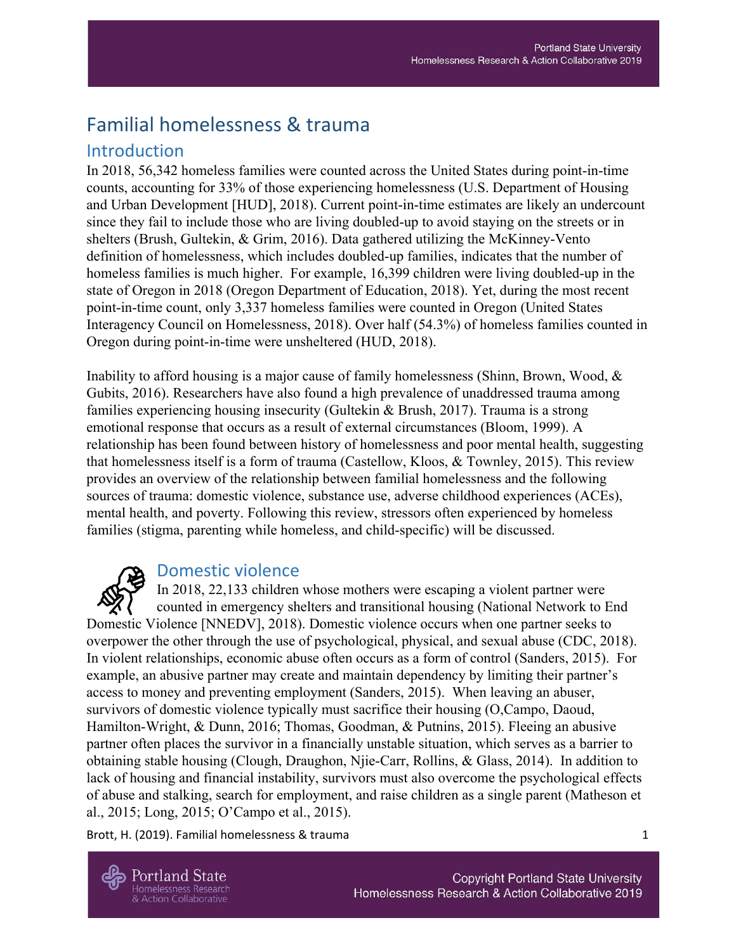# Familial homelessness & trauma

#### Introduction

In 2018, 56,342 homeless families were counted across the United States during point-in-time counts, accounting for 33% of those experiencing homelessness (U.S. Department of Housing and Urban Development [HUD], 2018). Current point-in-time estimates are likely an undercount since they fail to include those who are living doubled-up to avoid staying on the streets or in shelters (Brush, Gultekin, & Grim, 2016). Data gathered utilizing the McKinney-Vento definition of homelessness, which includes doubled-up families, indicates that the number of homeless families is much higher. For example, 16,399 children were living doubled-up in the state of Oregon in 2018 (Oregon Department of Education, 2018). Yet, during the most recent point-in-time count, only 3,337 homeless families were counted in Oregon (United States Interagency Council on Homelessness, 2018). Over half (54.3%) of homeless families counted in Oregon during point-in-time were unsheltered (HUD, 2018).

Inability to afford housing is a major cause of family homelessness (Shinn, Brown, Wood, & Gubits, 2016). Researchers have also found a high prevalence of unaddressed trauma among families experiencing housing insecurity (Gultekin & Brush, 2017). Trauma is a strong emotional response that occurs as a result of external circumstances (Bloom, 1999). A relationship has been found between history of homelessness and poor mental health, suggesting that homelessness itself is a form of trauma (Castellow, Kloos, & Townley, 2015). This review provides an overview of the relationship between familial homelessness and the following sources of trauma: domestic violence, substance use, adverse childhood experiences (ACEs), mental health, and poverty. Following this review, stressors often experienced by homeless families (stigma, parenting while homeless, and child-specific) will be discussed.

## Domestic violence

In 2018, 22,133 children whose mothers were escaping a violent partner were counted in emergency shelters and transitional housing (National Network to End Domestic Violence [NNEDV], 2018). Domestic violence occurs when one partner seeks to overpower the other through the use of psychological, physical, and sexual abuse (CDC, 2018). In violent relationships, economic abuse often occurs as a form of control (Sanders, 2015). For example, an abusive partner may create and maintain dependency by limiting their partner's access to money and preventing employment (Sanders, 2015). When leaving an abuser, survivors of domestic violence typically must sacrifice their housing (O,Campo, Daoud, Hamilton-Wright, & Dunn, 2016; Thomas, Goodman, & Putnins, 2015). Fleeing an abusive partner often places the survivor in a financially unstable situation, which serves as a barrier to obtaining stable housing (Clough, Draughon, Njie-Carr, Rollins, & Glass, 2014). In addition to lack of housing and financial instability, survivors must also overcome the psychological effects of abuse and stalking, search for employment, and raise children as a single parent (Matheson et al., 2015; Long, 2015; O'Campo et al., 2015).

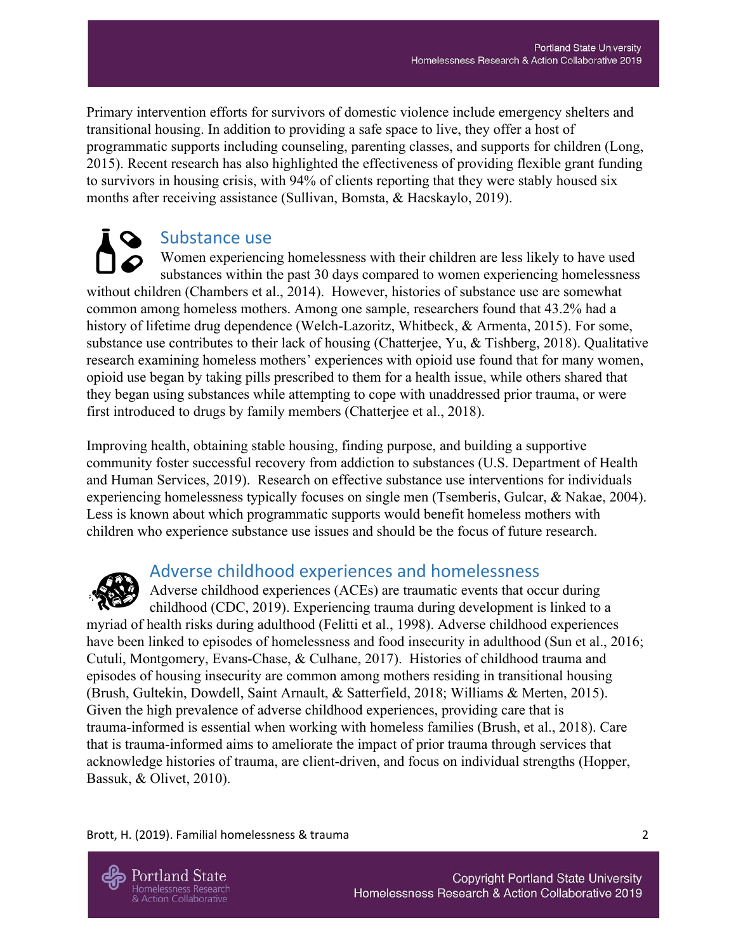Primary intervention efforts for survivors of domestic violence include emergency shelters and transitional housing. In addition to providing a safe space to live, they offer a host of programmatic supports including counseling, parenting classes, and supports for children (Long, 2015). Recent research has also highlighted the effectiveness of providing flexible grant funding to survivors in housing crisis, with 94% of clients reporting that they were stably housed six months after receiving assistance (Sullivan, Bomsta, & Hacskaylo, 2019).

Substance use Women experiencing homelessness with their children are less likely to have used substances within the past 30 days compared to women experiencing homelessness without children (Chambers et al., 2014). However, histories of substance use are somewhat common among homeless mothers. Among one sample, researchers found that 43.2% had a history of lifetime drug dependence (Welch-Lazoritz, Whitbeck, & Armenta, 2015). For some, substance use contributes to their lack of housing (Chatterjee, Yu, & Tishberg, 2018). Qualitative research examining homeless mothers' experiences with opioid use found that for many women, opioid use began by taking pills prescribed to them for a health issue, while others shared that they began using substances while attempting to cope with unaddressed prior trauma, or were first introduced to drugs by family members (Chatterjee et al., 2018).

Improving health, obtaining stable housing, finding purpose, and building a supportive community foster successful recovery from addiction to substances (U.S. Department of Health and Human Services, 2019). Research on effective substance use interventions for individuals experiencing homelessness typically focuses on single men (Tsemberis, Gulcar, & Nakae, 2004). Less is known about which programmatic supports would benefit homeless mothers with children who experience substance use issues and should be the focus of future research.



# Adverse childhood experiences and homelessness

Adverse childhood experiences (ACEs) are traumatic events that occur during childhood (CDC, 2019). Experiencing trauma during development is linked to a myriad of health risks during adulthood (Felitti et al., 1998). Adverse childhood experiences have been linked to episodes of homelessness and food insecurity in adulthood (Sun et al., 2016; Cutuli, Montgomery, Evans-Chase, & Culhane, 2017). Histories of childhood trauma and episodes of housing insecurity are common among mothers residing in transitional housing (Brush, Gultekin, Dowdell, Saint Arnault, & Satterfield, 2018; Williams & Merten, 2015). Given the high prevalence of adverse childhood experiences, providing care that is trauma-informed is essential when working with homeless families (Brush, et al., 2018). Care that is trauma-informed aims to ameliorate the impact of prior trauma through services that acknowledge histories of trauma, are client-driven, and focus on individual strengths (Hopper, Bassuk, & Olivet, 2010).

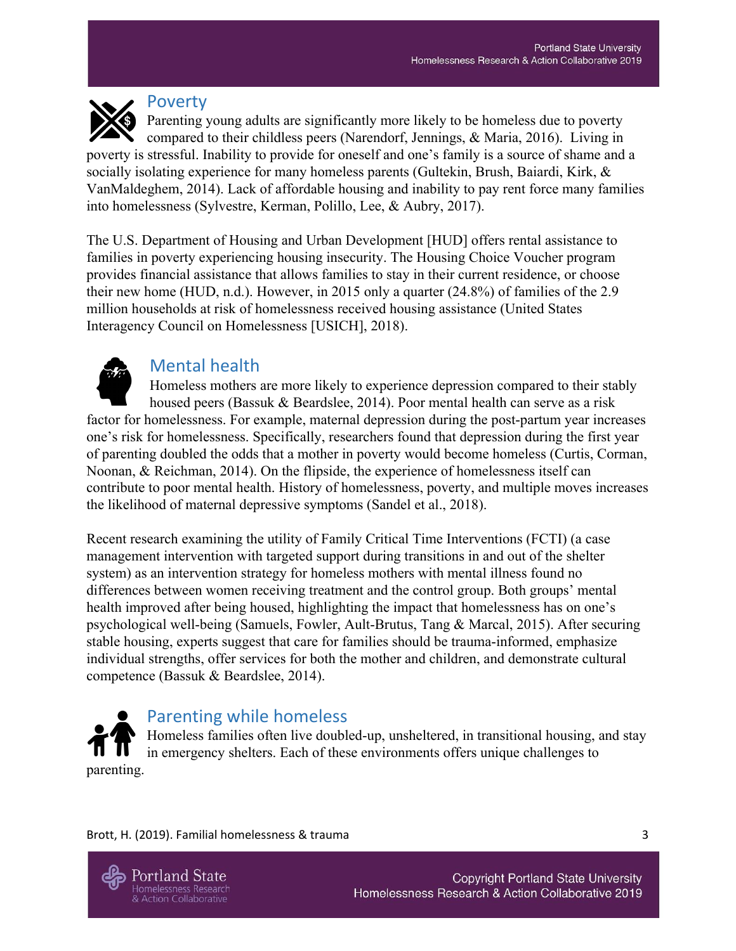

#### Poverty

Parenting young adults are significantly more likely to be homeless due to poverty compared to their childless peers (Narendorf, Jennings, & Maria, 2016). Living in poverty is stressful. Inability to provide for oneself and one's family is a source of shame and a socially isolating experience for many homeless parents (Gultekin, Brush, Baiardi, Kirk, & VanMaldeghem, 2014). Lack of affordable housing and inability to pay rent force many families into homelessness (Sylvestre, Kerman, Polillo, Lee, & Aubry, 2017).

The U.S. Department of Housing and Urban Development [HUD] offers rental assistance to families in poverty experiencing housing insecurity. The Housing Choice Voucher program provides financial assistance that allows families to stay in their current residence, or choose their new home (HUD, n.d.). However, in 2015 only a quarter (24.8%) of families of the 2.9 million households at risk of homelessness received housing assistance (United States Interagency Council on Homelessness [USICH], 2018).



# Mental health

Homeless mothers are more likely to experience depression compared to their stably housed peers (Bassuk & Beardslee, 2014). Poor mental health can serve as a risk factor for homelessness. For example, maternal depression during the post-partum year increases one's risk for homelessness. Specifically, researchers found that depression during the first year of parenting doubled the odds that a mother in poverty would become homeless (Curtis, Corman, Noonan, & Reichman, 2014). On the flipside, the experience of homelessness itself can contribute to poor mental health. History of homelessness, poverty, and multiple moves increases the likelihood of maternal depressive symptoms (Sandel et al., 2018).

Recent research examining the utility of Family Critical Time Interventions (FCTI) (a case management intervention with targeted support during transitions in and out of the shelter system) as an intervention strategy for homeless mothers with mental illness found no differences between women receiving treatment and the control group. Both groups' mental health improved after being housed, highlighting the impact that homelessness has on one's psychological well-being (Samuels, Fowler, Ault-Brutus, Tang & Marcal, 2015). After securing stable housing, experts suggest that care for families should be trauma-informed, emphasize individual strengths, offer services for both the mother and children, and demonstrate cultural competence (Bassuk & Beardslee, 2014).



## Parenting while homeless

Homeless families often live doubled-up, unsheltered, in transitional housing, and stay in emergency shelters. Each of these environments offers unique challenges to parenting.

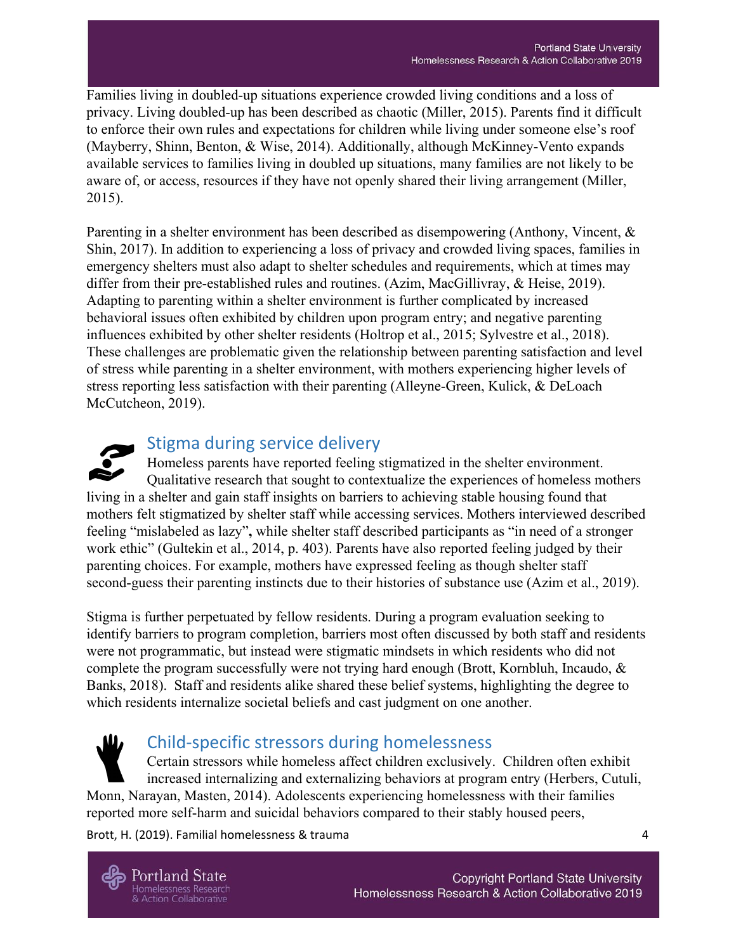Families living in doubled-up situations experience crowded living conditions and a loss of privacy. Living doubled-up has been described as chaotic (Miller, 2015). Parents find it difficult to enforce their own rules and expectations for children while living under someone else's roof (Mayberry, Shinn, Benton, & Wise, 2014). Additionally, although McKinney-Vento expands available services to families living in doubled up situations, many families are not likely to be aware of, or access, resources if they have not openly shared their living arrangement (Miller, 2015).

Parenting in a shelter environment has been described as disempowering (Anthony, Vincent, & Shin, 2017). In addition to experiencing a loss of privacy and crowded living spaces, families in emergency shelters must also adapt to shelter schedules and requirements, which at times may differ from their pre-established rules and routines. (Azim, MacGillivray, & Heise, 2019). Adapting to parenting within a shelter environment is further complicated by increased behavioral issues often exhibited by children upon program entry; and negative parenting influences exhibited by other shelter residents (Holtrop et al., 2015; Sylvestre et al., 2018). These challenges are problematic given the relationship between parenting satisfaction and level of stress while parenting in a shelter environment, with mothers experiencing higher levels of stress reporting less satisfaction with their parenting (Alleyne-Green, Kulick, & DeLoach McCutcheon, 2019).



# Stigma during service delivery

Homeless parents have reported feeling stigmatized in the shelter environment. Qualitative research that sought to contextualize the experiences of homeless mothers living in a shelter and gain staff insights on barriers to achieving stable housing found that mothers felt stigmatized by shelter staff while accessing services. Mothers interviewed described feeling "mislabeled as lazy"**,** while shelter staff described participants as "in need of a stronger work ethic" (Gultekin et al., 2014, p. 403). Parents have also reported feeling judged by their parenting choices. For example, mothers have expressed feeling as though shelter staff second-guess their parenting instincts due to their histories of substance use (Azim et al., 2019).

Stigma is further perpetuated by fellow residents. During a program evaluation seeking to identify barriers to program completion, barriers most often discussed by both staff and residents were not programmatic, but instead were stigmatic mindsets in which residents who did not complete the program successfully were not trying hard enough (Brott, Kornbluh, Incaudo, & Banks, 2018). Staff and residents alike shared these belief systems, highlighting the degree to which residents internalize societal beliefs and cast judgment on one another.

Child-specific stressors during homelessness Certain stressors while homeless affect children exclusively. Children often exhibit increased internalizing and externalizing behaviors at program entry (Herbers, Cutuli, Monn, Narayan, Masten, 2014). Adolescents experiencing homelessness with their families reported more self-harm and suicidal behaviors compared to their stably housed peers,

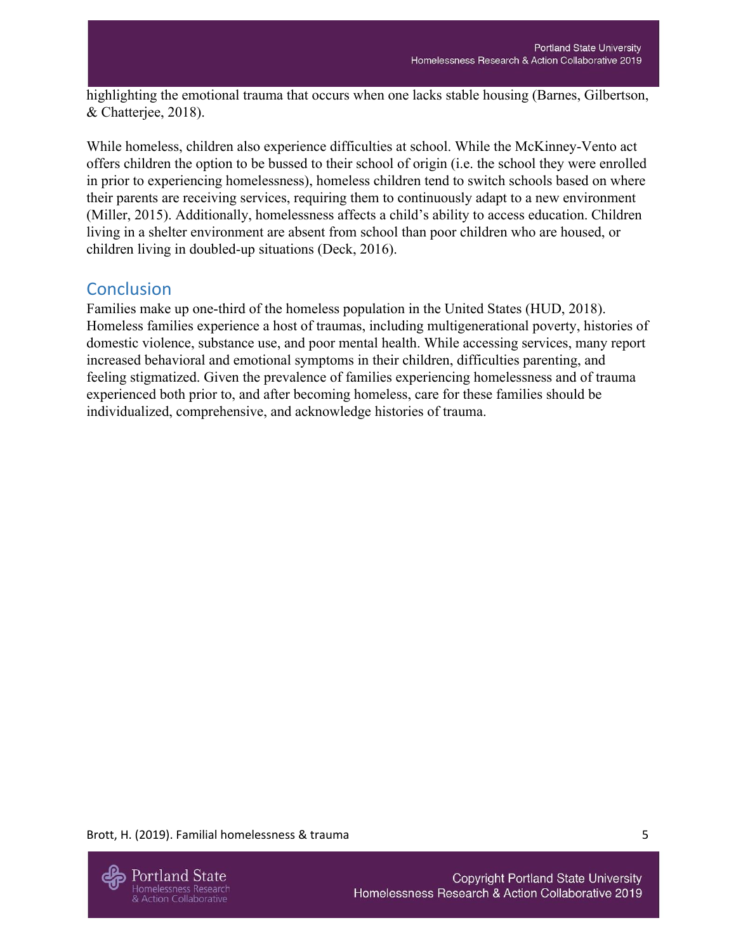highlighting the emotional trauma that occurs when one lacks stable housing (Barnes, Gilbertson, & Chatterjee, 2018).

While homeless, children also experience difficulties at school. While the McKinney-Vento act offers children the option to be bussed to their school of origin (i.e. the school they were enrolled in prior to experiencing homelessness), homeless children tend to switch schools based on where their parents are receiving services, requiring them to continuously adapt to a new environment (Miller, 2015). Additionally, homelessness affects a child's ability to access education. Children living in a shelter environment are absent from school than poor children who are housed, or children living in doubled-up situations (Deck, 2016).

## **Conclusion**

Families make up one-third of the homeless population in the United States (HUD, 2018). Homeless families experience a host of traumas, including multigenerational poverty, histories of domestic violence, substance use, and poor mental health. While accessing services, many report increased behavioral and emotional symptoms in their children, difficulties parenting, and feeling stigmatized. Given the prevalence of families experiencing homelessness and of trauma experienced both prior to, and after becoming homeless, care for these families should be individualized, comprehensive, and acknowledge histories of trauma.

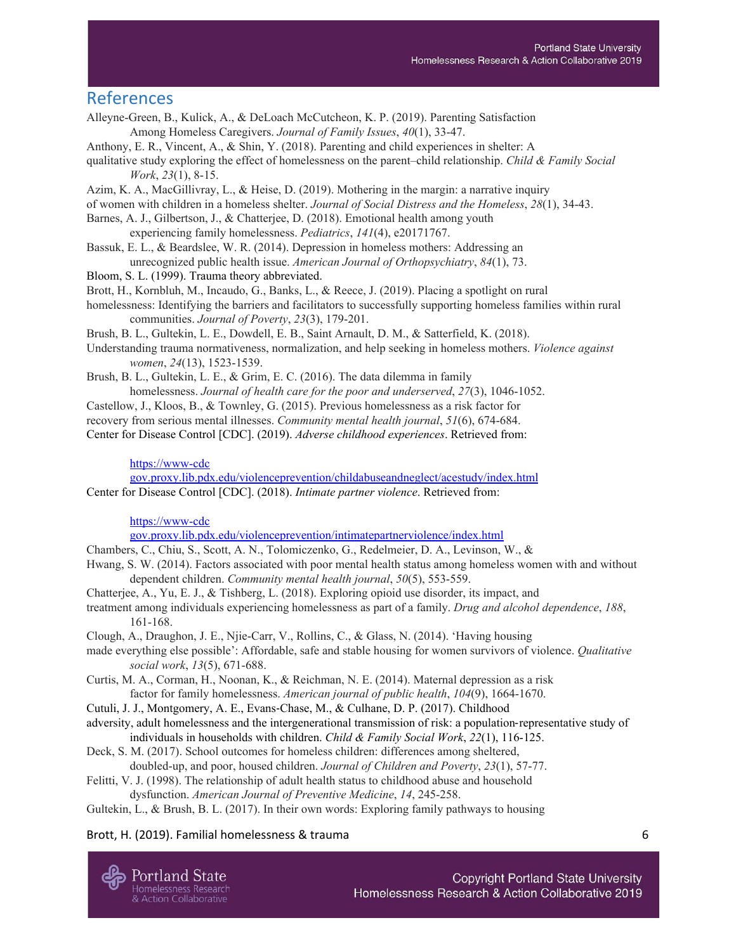#### References

- Alleyne-Green, B., Kulick, A., & DeLoach McCutcheon, K. P. (2019). Parenting Satisfaction Among Homeless Caregivers. *Journal of Family Issues*, *40*(1), 33-47.
- Anthony, E. R., Vincent, A., & Shin, Y. (2018). Parenting and child experiences in shelter: A
- qualitative study exploring the effect of homelessness on the parent–child relationship. *Child & Family Social Work*, *23*(1), 8-15.
- Azim, K. A., MacGillivray, L., & Heise, D. (2019). Mothering in the margin: a narrative inquiry
- of women with children in a homeless shelter. *Journal of Social Distress and the Homeless*, *28*(1), 34-43.
- Barnes, A. J., Gilbertson, J., & Chatterjee, D. (2018). Emotional health among youth experiencing family homelessness. *Pediatrics*, *141*(4), e20171767.
- Bassuk, E. L., & Beardslee, W. R. (2014). Depression in homeless mothers: Addressing an unrecognized public health issue. *American Journal of Orthopsychiatry*, *84*(1), 73.
- Bloom, S. L. (1999). Trauma theory abbreviated.
- Brott, H., Kornbluh, M., Incaudo, G., Banks, L., & Reece, J. (2019). Placing a spotlight on rural
- homelessness: Identifying the barriers and facilitators to successfully supporting homeless families within rural communities. *Journal of Poverty*, *23*(3), 179-201.
- Brush, B. L., Gultekin, L. E., Dowdell, E. B., Saint Arnault, D. M., & Satterfield, K. (2018).
- Understanding trauma normativeness, normalization, and help seeking in homeless mothers. *Violence against women*, *24*(13), 1523-1539.
- Brush, B. L., Gultekin, L. E., & Grim, E. C. (2016). The data dilemma in family homelessness. *Journal of health care for the poor and underserved*, *27*(3), 1046-1052.
- Castellow, J., Kloos, B., & Townley, G. (2015). Previous homelessness as a risk factor for recovery from serious mental illnesses. *Community mental health journal*, *51*(6), 674-684. Center for Disease Control [CDC]. (2019). *Adverse childhood experiences*. Retrieved from:

#### [https://www-cdc](https://www-cdcgov.proxy.lib.pdx.edu/violenceprevention/childabuseandneglect/acestudy/index.html)

[gov.proxy.lib.pdx.edu/violenceprevention/childabuseandneglect/acestudy/index.html](https://www-cdcgov.proxy.lib.pdx.edu/violenceprevention/childabuseandneglect/acestudy/index.html) Center for Disease Control [CDC]. (2018). *Intimate partner violence*. Retrieved from:

#### [https://www-cdc](https://www-cdcgov.proxy.lib.pdx.edu/violenceprevention/intimatepartnerviolence/index.html)

[gov.proxy.lib.pdx.edu/violenceprevention/intimatepartnerviolence/index.html](https://www-cdcgov.proxy.lib.pdx.edu/violenceprevention/intimatepartnerviolence/index.html)

- Chambers, C., Chiu, S., Scott, A. N., Tolomiczenko, G., Redelmeier, D. A., Levinson, W., &
- Hwang, S. W. (2014). Factors associated with poor mental health status among homeless women with and without dependent children. *Community mental health journal*, *50*(5), 553-559.
- Chatterjee, A., Yu, E. J., & Tishberg, L. (2018). Exploring opioid use disorder, its impact, and
- treatment among individuals experiencing homelessness as part of a family. *Drug and alcohol dependence*, *188*, 161-168.
- Clough, A., Draughon, J. E., Njie-Carr, V., Rollins, C., & Glass, N. (2014). 'Having housing
- made everything else possible': Affordable, safe and stable housing for women survivors of violence. *Qualitative social work*, *13*(5), 671-688.
- Curtis, M. A., Corman, H., Noonan, K., & Reichman, N. E. (2014). Maternal depression as a risk factor for family homelessness. *American journal of public health*, *104*(9), 1664-1670.
- Cutuli, J. J., Montgomery, A. E., Evans-Chase, M., & Culhane, D. P. (2017). Childhood
- adversity, adult homelessness and the intergenerational transmission of risk: a population-representative study of individuals in households with children. *Child & Family Social Work*, *22*(1), 116-125.
- Deck, S. M. (2017). School outcomes for homeless children: differences among sheltered, doubled-up, and poor, housed children. *Journal of Children and Poverty*, *23*(1), 57-77.
- Felitti, V. J. (1998). The relationship of adult health status to childhood abuse and household dysfunction. *American Journal of Preventive Medicine*, *14*, 245-258.

Gultekin, L., & Brush, B. L. (2017). In their own words: Exploring family pathways to housing

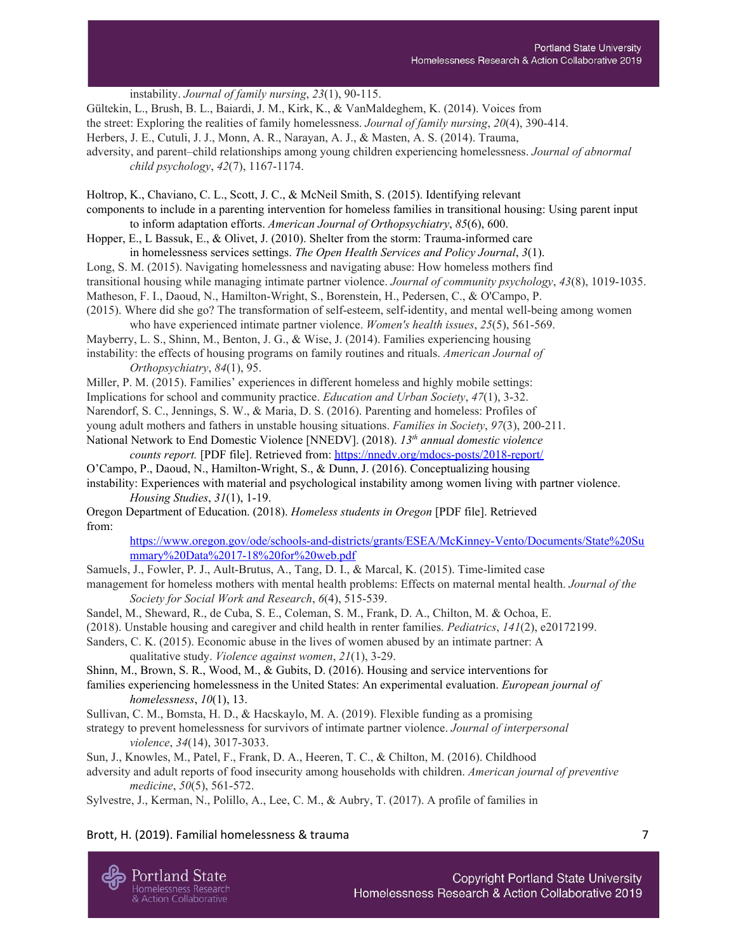instability. *Journal of family nursing*, *23*(1), 90-115. Gültekin, L., Brush, B. L., Baiardi, J. M., Kirk, K., & VanMaldeghem, K. (2014). Voices from the street: Exploring the realities of family homelessness. *Journal of family nursing*, *20*(4), 390-414. Herbers, J. E., Cutuli, J. J., Monn, A. R., Narayan, A. J., & Masten, A. S. (2014). Trauma, adversity, and parent–child relationships among young children experiencing homelessness. *Journal of abnormal child psychology*, *42*(7), 1167-1174. Holtrop, K., Chaviano, C. L., Scott, J. C., & McNeil Smith, S. (2015). Identifying relevant

components to include in a parenting intervention for homeless families in transitional housing: Using parent input to inform adaptation efforts. *American Journal of Orthopsychiatry*, *85*(6), 600.

Hopper, E., L Bassuk, E., & Olivet, J. (2010). Shelter from the storm: Trauma-informed care in homelessness services settings. *The Open Health Services and Policy Journal*, *3*(1).

Long, S. M. (2015). Navigating homelessness and navigating abuse: How homeless mothers find transitional housing while managing intimate partner violence. *Journal of community psychology*, *43*(8), 1019-1035. Matheson, F. I., Daoud, N., Hamilton-Wright, S., Borenstein, H., Pedersen, C., & O'Campo, P. (2015). Where did she go? The transformation of self-esteem, self-identity, and mental well-being among women

who have experienced intimate partner violence. *Women's health issues*, *25*(5), 561-569. Mayberry, L. S., Shinn, M., Benton, J. G., & Wise, J. (2014). Families experiencing housing instability: the effects of housing programs on family routines and rituals. *American Journal of*

*Orthopsychiatry*, *84*(1), 95.

Miller, P. M. (2015). Families' experiences in different homeless and highly mobile settings: Implications for school and community practice. *Education and Urban Society*, *47*(1), 3-32. Narendorf, S. C., Jennings, S. W., & Maria, D. S. (2016). Parenting and homeless: Profiles of young adult mothers and fathers in unstable housing situations. *Families in Society*, *97*(3), 200-211. National Network to End Domestic Violence [NNEDV]. (2018). *13 th annual domestic violence*

*counts report.* [PDF file]. Retrieved from: <https://nnedv.org/mdocs-posts/2018-report/> O'Campo, P., Daoud, N., Hamilton-Wright, S., & Dunn, J. (2016). Conceptualizing housing instability: Experiences with material and psychological instability among women living with partner violence.

*Housing Studies*, *31*(1), 1-19.

Oregon Department of Education. (2018). *Homeless students in Oregon* [PDF file]. Retrieved from:

[https://www.oregon.gov/ode/schools-and-districts/grants/ESEA/McKinney-Vento/Documents/State%20Su](https://www.oregon.gov/ode/schools-and-districts/grants/ESEA/McKinney-Vento/Documents/State%20Summary%20Data%2017-18%20for%20web.pdf) [mmary%20Data%2017-18%20for%20web.pdf](https://www.oregon.gov/ode/schools-and-districts/grants/ESEA/McKinney-Vento/Documents/State%20Summary%20Data%2017-18%20for%20web.pdf)

Samuels, J., Fowler, P. J., Ault-Brutus, A., Tang, D. I., & Marcal, K. (2015). Time-limited case management for homeless mothers with mental health problems: Effects on maternal mental health. *Journal of the Society for Social Work and Research*, *6*(4), 515-539.

Sandel, M., Sheward, R., de Cuba, S. E., Coleman, S. M., Frank, D. A., Chilton, M. & Ochoa, E.

(2018). Unstable housing and caregiver and child health in renter families. *Pediatrics*, *141*(2), e20172199.

Sanders, C. K. (2015). Economic abuse in the lives of women abused by an intimate partner: A qualitative study. *Violence against women*, *21*(1), 3-29.

Shinn, M., Brown, S. R., Wood, M., & Gubits, D. (2016). Housing and service interventions for

families experiencing homelessness in the United States: An experimental evaluation. *European journal of homelessness*, *10*(1), 13.

Sullivan, C. M., Bomsta, H. D., & Hacskaylo, M. A. (2019). Flexible funding as a promising

strategy to prevent homelessness for survivors of intimate partner violence. *Journal of interpersonal violence*, *34*(14), 3017-3033.

Sun, J., Knowles, M., Patel, F., Frank, D. A., Heeren, T. C., & Chilton, M. (2016). Childhood

adversity and adult reports of food insecurity among households with children. *American journal of preventive medicine*, *50*(5), 561-572.

Sylvestre, J., Kerman, N., Polillo, A., Lee, C. M., & Aubry, T. (2017). A profile of families in